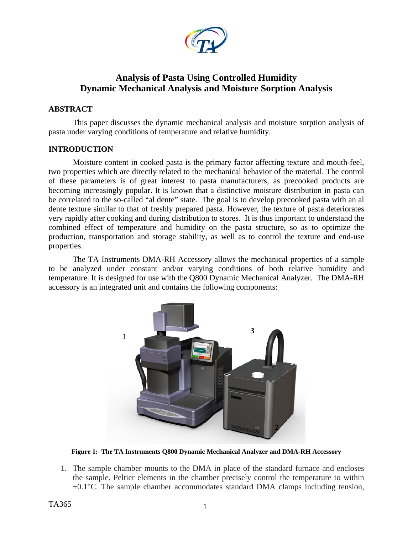

# **Analysis of Pasta Using Controlled Humidity Dynamic Mechanical Analysis and Moisture Sorption Analysis**

# **ABSTRACT**

This paper discusses the dynamic mechanical analysis and moisture sorption analysis of pasta under varying conditions of temperature and relative humidity.

# **INTRODUCTION**

Moisture content in cooked pasta is the primary factor affecting texture and mouth-feel, two properties which are directly related to the mechanical behavior of the material. The control of these parameters is of great interest to pasta manufacturers, as precooked products are becoming increasingly popular. It is known that a distinctive moisture distribution in pasta can be correlated to the so-called "al dente" state. The goal is to develop precooked pasta with an al dente texture similar to that of freshly prepared pasta. However, the texture of pasta deteriorates very rapidly after cooking and during distribution to stores. It is thus important to understand the combined effect of temperature and humidity on the pasta structure, so as to optimize the production, transportation and storage stability, as well as to control the texture and end-use properties.

The TA Instruments DMA-RH Accessory allows the mechanical properties of a sample to be analyzed under constant and/or varying conditions of both relative humidity and temperature. It is designed for use with the Q800 Dynamic Mechanical Analyzer. The DMA-RH accessory is an integrated unit and contains the following components:



**Figure 1: The TA Instruments Q800 Dynamic Mechanical Analyzer and DMA-RH Accessory** 

1. The sample chamber mounts to the DMA in place of the standard furnace and encloses the sample. Peltier elements in the chamber precisely control the temperature to within  $\pm 0.1^{\circ}$ C. The sample chamber accommodates standard DMA clamps including tension,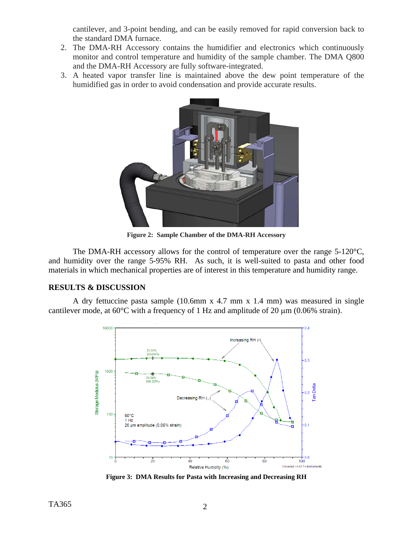cantilever, and 3-point bending, and can be easily removed for rapid conversion back to the standard DMA furnace.

- 2. The DMA-RH Accessory contains the humidifier and electronics which continuously monitor and control temperature and humidity of the sample chamber. The DMA Q800 and the DMA-RH Accessory are fully software-integrated.
- 3. A heated vapor transfer line is maintained above the dew point temperature of the humidified gas in order to avoid condensation and provide accurate results.



**Figure 2: Sample Chamber of the DMA-RH Accessory** 

The DMA-RH accessory allows for the control of temperature over the range 5-120<sup>o</sup>C, and humidity over the range 5-95% RH. As such, it is well-suited to pasta and other food materials in which mechanical properties are of interest in this temperature and humidity range.

# **RESULTS & DISCUSSION**

A dry fettuccine pasta sample (10.6mm x 4.7 mm x 1.4 mm) was measured in single cantilever mode, at 60°C with a frequency of 1 Hz and amplitude of 20 μm (0.06% strain).



**Figure 3: DMA Results for Pasta with Increasing and Decreasing RH**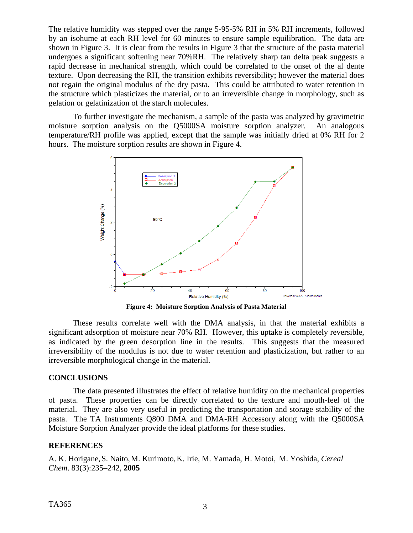The relative humidity was stepped over the range 5-95-5% RH in 5% RH increments, followed by an isohume at each RH level for 60 minutes to ensure sample equilibration. The data are shown in Figure 3. It is clear from the results in Figure 3 that the structure of the pasta material undergoes a significant softening near 70%RH. The relatively sharp tan delta peak suggests a rapid decrease in mechanical strength, which could be correlated to the onset of the al dente texture. Upon decreasing the RH, the transition exhibits reversibility; however the material does not regain the original modulus of the dry pasta. This could be attributed to water retention in the structure which plasticizes the material, or to an irreversible change in morphology, such as gelation or gelatinization of the starch molecules.

 To further investigate the mechanism, a sample of the pasta was analyzed by gravimetric moisture sorption analysis on the Q5000SA moisture sorption analyzer. An analogous temperature/RH profile was applied, except that the sample was initially dried at 0% RH for 2 hours. The moisture sorption results are shown in Figure 4.



**Figure 4: Moisture Sorption Analysis of Pasta Material** 

These results correlate well with the DMA analysis, in that the material exhibits a significant adsorption of moisture near 70% RH. However, this uptake is completely reversible, as indicated by the green desorption line in the results. This suggests that the measured irreversibility of the modulus is not due to water retention and plasticization, but rather to an irreversible morphological change in the material.

# **CONCLUSIONS**

The data presented illustrates the effect of relative humidity on the mechanical properties of pasta. These properties can be directly correlated to the texture and mouth-feel of the material. They are also very useful in predicting the transportation and storage stability of the pasta. The TA Instruments Q800 DMA and DMA-RH Accessory along with the Q5000SA Moisture Sorption Analyzer provide the ideal platforms for these studies.

# **REFERENCES**

A. K. Horigane,S. Naito,M. Kurimoto,K. Irie, M. Yamada, H. Motoi, M. Yoshida, *Cereal Chem*. 83(3):235–242, **2005**